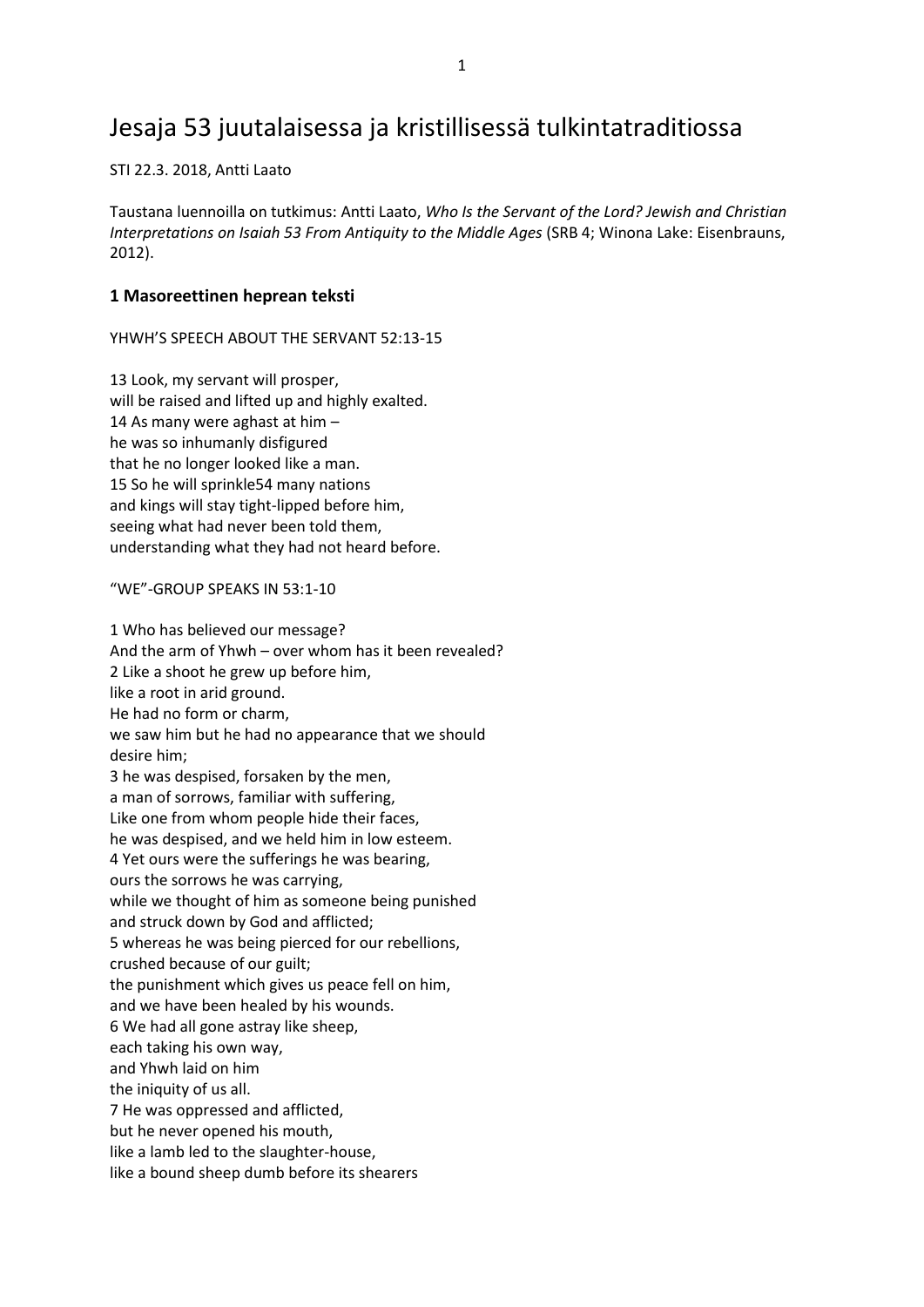## Jesaja 53 juutalaisessa ja kristillisessä tulkintatraditiossa

STI 22.3. 2018, Antti Laato

Taustana luennoilla on tutkimus: Antti Laato, *Who Is the Servant of the Lord? Jewish and Christian Interpretations on Isaiah 53 From Antiquity to the Middle Ages* (SRB 4; Winona Lake: Eisenbrauns, 2012).

### **1 Masoreettinen heprean teksti**

YHWH'S SPEECH ABOUT THE SERVANT 52:13-15

13 Look, my servant will prosper, will be raised and lifted up and highly exalted. 14 As many were aghast at him – he was so inhumanly disfigured that he no longer looked like a man. 15 So he will sprinkle54 many nations and kings will stay tight-lipped before him, seeing what had never been told them, understanding what they had not heard before.

"WE"-GROUP SPEAKS IN 53:1-10

1 Who has believed our message? And the arm of Yhwh – over whom has it been revealed? 2 Like a shoot he grew up before him, like a root in arid ground. He had no form or charm, we saw him but he had no appearance that we should desire him; 3 he was despised, forsaken by the men, a man of sorrows, familiar with suffering, Like one from whom people hide their faces, he was despised, and we held him in low esteem. 4 Yet ours were the sufferings he was bearing, ours the sorrows he was carrying, while we thought of him as someone being punished and struck down by God and afflicted; 5 whereas he was being pierced for our rebellions, crushed because of our guilt; the punishment which gives us peace fell on him, and we have been healed by his wounds. 6 We had all gone astray like sheep, each taking his own way, and Yhwh laid on him the iniquity of us all. 7 He was oppressed and afflicted, but he never opened his mouth, like a lamb led to the slaughter-house, like a bound sheep dumb before its shearers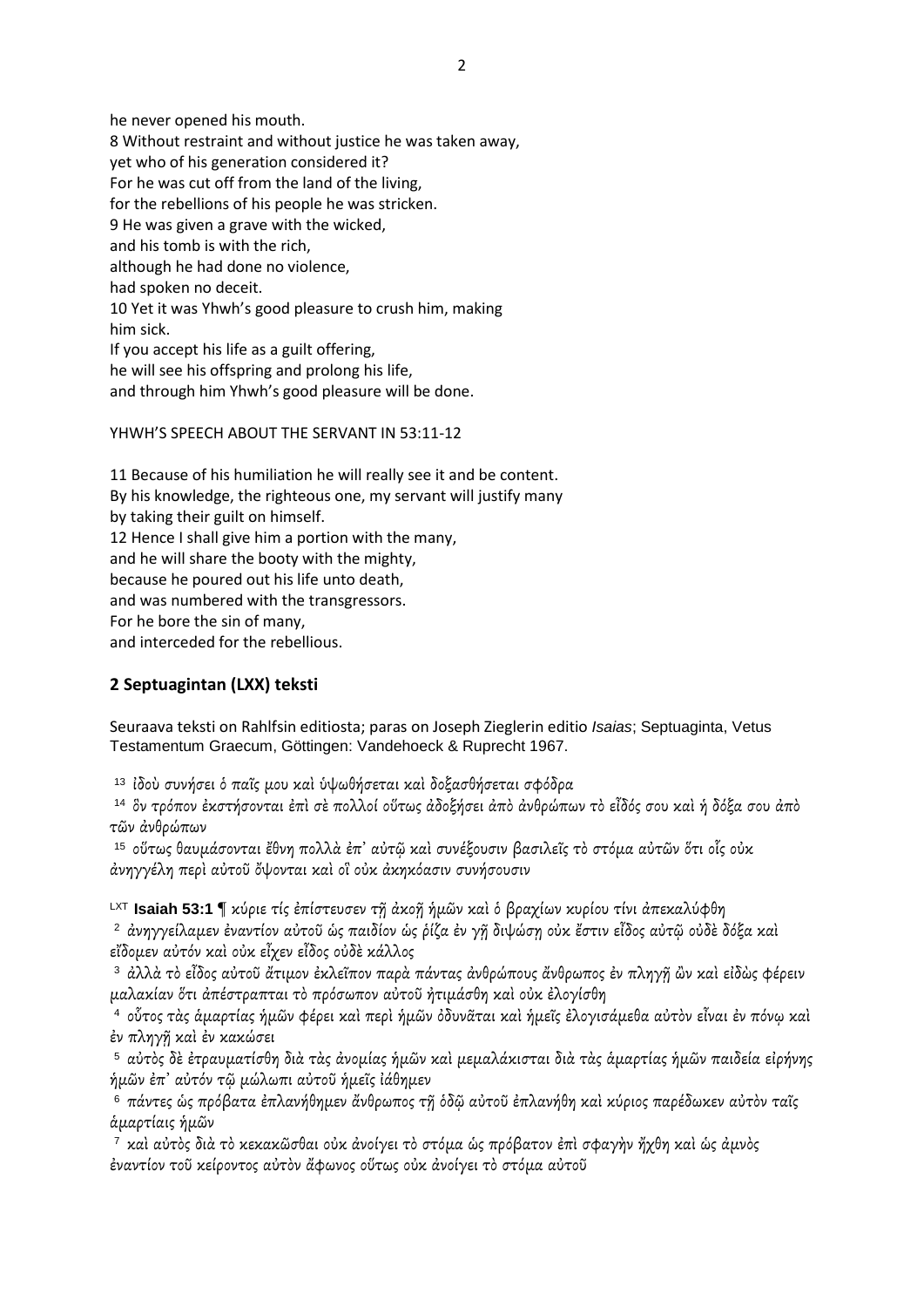he never opened his mouth. 8 Without restraint and without justice he was taken away, yet who of his generation considered it? For he was cut off from the land of the living, for the rebellions of his people he was stricken. 9 He was given a grave with the wicked, and his tomb is with the rich, although he had done no violence, had spoken no deceit. 10 Yet it was Yhwh's good pleasure to crush him, making him sick. If you accept his life as a guilt offering, he will see his offspring and prolong his life, and through him Yhwh's good pleasure will be done.

#### YHWH'S SPEECH ABOUT THE SERVANT IN 53:11-12

11 Because of his humiliation he will really see it and be content. By his knowledge, the righteous one, my servant will justify many by taking their guilt on himself. 12 Hence I shall give him a portion with the many, and he will share the booty with the mighty, because he poured out his life unto death, and was numbered with the transgressors. For he bore the sin of many, and interceded for the rebellious.

### **2 Septuagintan (LXX) teksti**

Seuraava teksti on Rahlfsin editiosta; paras on Joseph Zieglerin editio *Isaias*; Septuaginta, Vetus Testamentum Graecum, Göttingen: Vandehoeck & Ruprecht 1967.

<sup>13</sup>ἰδοὺ συνήσει ὁ παῖς μου καὶ ὑψωθήσεται καὶ δοξασθήσεται σφόδρα

<sup>14</sup>ὃν τρόπον ἐκστήσονται ἐπὶ σὲ πολλοί οὕτως ἀδοξήσει ἀπὸ ἀνθρώπων τὸ εἶδός σου καὶ ἡ δόξα σου ἀπὸ τῶν ἀνθρώπων

<sup>15</sup>οὕτως θαυμάσονται ἔθνη πολλὰ ἐπ᾽ αὐτῷ καὶ συνέξουσιν βασιλεῖς τὸ στόμα αὐτῶν ὅτι οἷς οὐκ ἀνηγγέλη περὶ αὐτοῦ ὄψονται καὶ οἳ οὐκ ἀκηκόασιν συνήσουσιν

LXT **Isaiah 53:1** ¶ κύριε τίς ἐπίστευσεν τῇ ἀκοῇ ἡμῶν καὶ ὁ βραχίων κυρίου τίνι ἀπεκαλύφθη

<sup>2</sup> ἀνηγγείλαμεν ἐναντίον αὐτοῦ ὡς παιδίον ὡς ῥίζα ἐν γῆ διψώσῃ οὐκ ἔστιν εἶδος αὐτῷ οὐδὲ δόξα καὶ εἴδομεν αὐτόν καὶ οὐκ εἶχεν εἶδος οὐδὲ κάλλος

<sup>3</sup> ἀλλὰ τὸ εἶδος αὐτοῦ ἄτιμον ἐκλεῖπον παρὰ πάντας ἀνθρώπους ἄνθρωπος ἐν πληγῆ ὢν καὶ εἰδὼς φέρειν μαλακίαν ὅτι ἀπέστραπται τὸ πρόσωπον αὐτοῦ ἠτιμάσθη καὶ οὐκ ἐλογίσθη

<sup>4</sup>οὗτος τὰς ἁμαρτίας ἡμῶν φέρει καὶ περὶ ἡμῶν ὀδυνᾶται καὶ ἡμεῖς ἐλογισάμεθα αὐτὸν εἶναι ἐν πόνῳ καὶ ἐν πληγῇ καὶ ἐν κακώσει

<sup>5</sup>αὐτὸς δὲ ἐτραυματίσθη διὰ τὰς ἀνομίας ἡμῶν καὶ μεμαλάκισται διὰ τὰς ἁμαρτίας ἡμῶν παιδεία εἰρήνης ἡμῶν ἐπ᾽ αὐτόν τῷ μώλωπι αὐτοῦ ἡμεῖς ἰάθημεν

<sup>6</sup>πάντες ὡς πρόβατα ἐπλανήθημεν ἄνθρωπος τῇ ὁδῷ αὐτοῦ ἐπλανήθη καὶ κύριος παρέδωκεν αὐτὸν ταῖς ἁμαρτίαις ἡμῶν

<sup>7</sup>καὶ αὐτὸς διὰ τὸ κεκακῶσθαι οὐκ ἀνοίγει τὸ στόμα ὡς πρόβατον ἐπὶ σφαγὴν ἤχθη καὶ ὡς ἀμνὸς ἐναντίον τοῦ κείροντος αὐτὸν ἄφωνος οὕτως οὐκ ἀνοίγει τὸ στόμα αὐτοῦ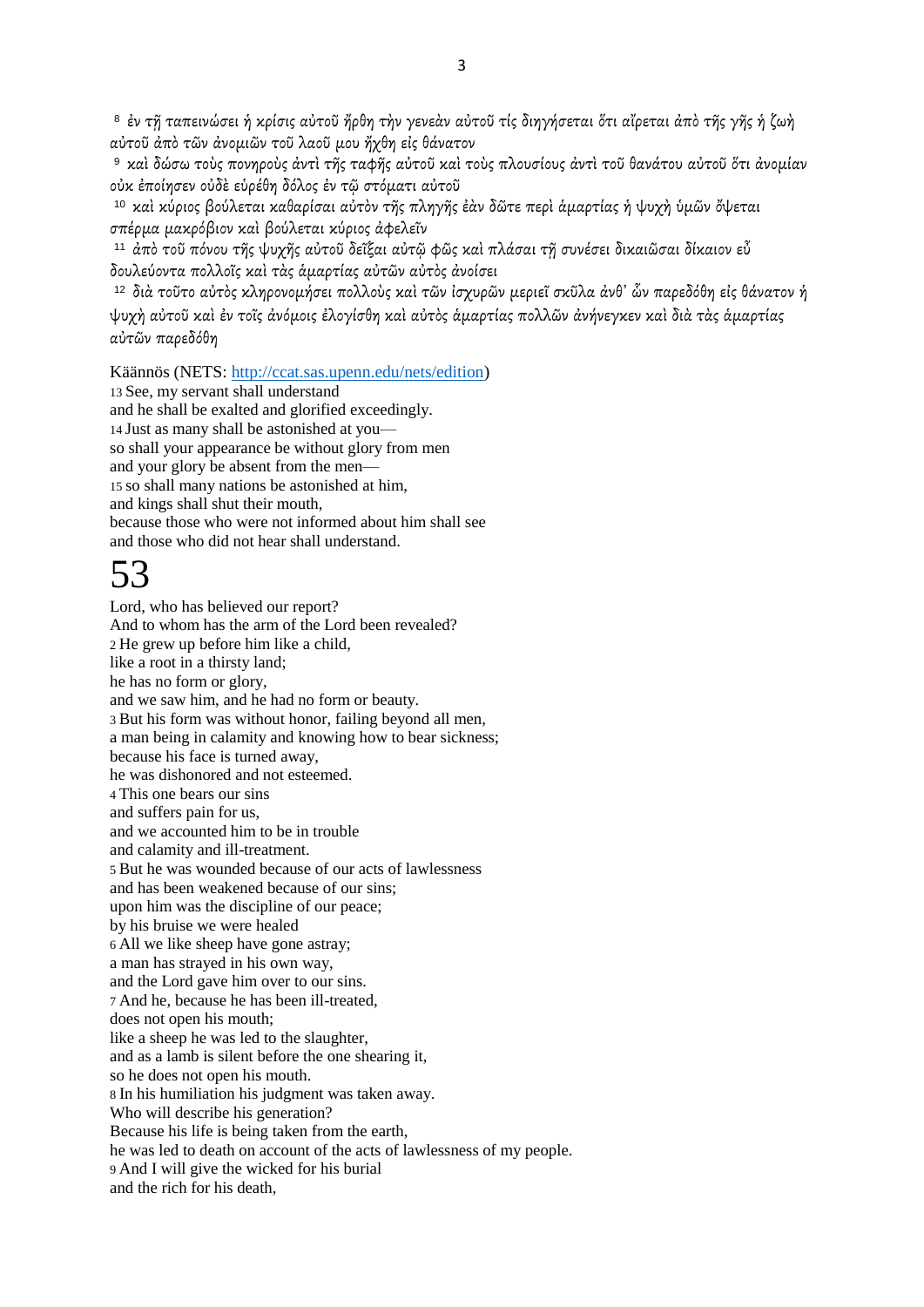<sup>8</sup> ἐν τῆ ταπεινώσει ἡ κρίσις αὐτοῦ ἤρθη τὴν γενεὰν αὐτοῦ τίς διηγήσεται ὅτι αἴρεται ἀπὸ τῆς γῆς ἡ ζωὴ αὐτοῦ ἀπὸ τῶν ἀνομιῶν τοῦ λαοῦ μου ἤχθη εἰς θάνατον

<sup>9</sup> καὶ δώσω τοὺς πονηροὺς ἀντὶ τῆς ταφῆς αὐτοῦ καὶ τοὺς πλουσίους ἀντὶ τοῦ θανάτου αὐτοῦ ὅτι ἀνομίαν οὐκ ἐποίησεν οὐδὲ εὑρέθη δόλος ἐν τῷ στόματι αὐτοῦ

<sup>10</sup>καὶ κύριος βούλεται καθαρίσαι αὐτὸν τῆς πληγῆς ἐὰν δῶτε περὶ ἁμαρτίας ἡ ψυχὴ ὑμῶν ὄψεται σπέρμα μακρόβιον καὶ βούλεται κύριος ἀφελεῖν

<sup>11</sup>ἀπὸ τοῦ πόνου τῆς ψυχῆς αὐτοῦ δεῖξαι αὐτῷ φῶς καὶ πλάσαι τῇ συνέσει δικαιῶσαι δίκαιον εὖ δουλεύοντα πολλοῖς καὶ τὰς ἁμαρτίας αὐτῶν αὐτὸς ἀνοίσει

<sup>12</sup>διὰ τοῦτο αὐτὸς κληρονομήσει πολλοὺς καὶ τῶν ἰσχυρῶν μεριεῖ σκῦλα ἀνθ᾽ ὧν παρεδόθη εἰς θάνατον ἡ ψυχὴ αὐτοῦ καὶ ἐν τοῖς ἀνόμοις ἐλογίσθη καὶ αὐτὸς ἁμαρτίας πολλῶν ἀνήνεγκεν καὶ διὰ τὰς ἁμαρτίας αὐτῶν παρεδόθη

Käännös (NETS: [http://ccat.sas.upenn.edu/nets/edition\)](http://ccat.sas.upenn.edu/nets/edition) 13 See, my servant shall understand and he shall be exalted and glorified exceedingly. 14 Just as many shall be astonished at you so shall your appearance be without glory from men and your glory be absent from the men— 15 so shall many nations be astonished at him, and kings shall shut their mouth, because those who were not informed about him shall see and those who did not hear shall understand.

# 53

Lord, who has believed our report? And to whom has the arm of the Lord been revealed? 2 He grew up before him like a child, like a root in a thirsty land; he has no form or glory, and we saw him, and he had no form or beauty. 3 But his form was without honor, failing beyond all men, a man being in calamity and knowing how to bear sickness; because his face is turned away, he was dishonored and not esteemed. 4 This one bears our sins and suffers pain for us, and we accounted him to be in trouble and calamity and ill-treatment. 5 But he was wounded because of our acts of lawlessness and has been weakened because of our sins; upon him was the discipline of our peace; by his bruise we were healed 6 All we like sheep have gone astray; a man has strayed in his own way, and the Lord gave him over to our sins. 7 And he, because he has been ill-treated, does not open his mouth; like a sheep he was led to the slaughter, and as a lamb is silent before the one shearing it, so he does not open his mouth. 8 In his humiliation his judgment was taken away. Who will describe his generation? Because his life is being taken from the earth, he was led to death on account of the acts of lawlessness of my people. 9 And I will give the wicked for his burial and the rich for his death,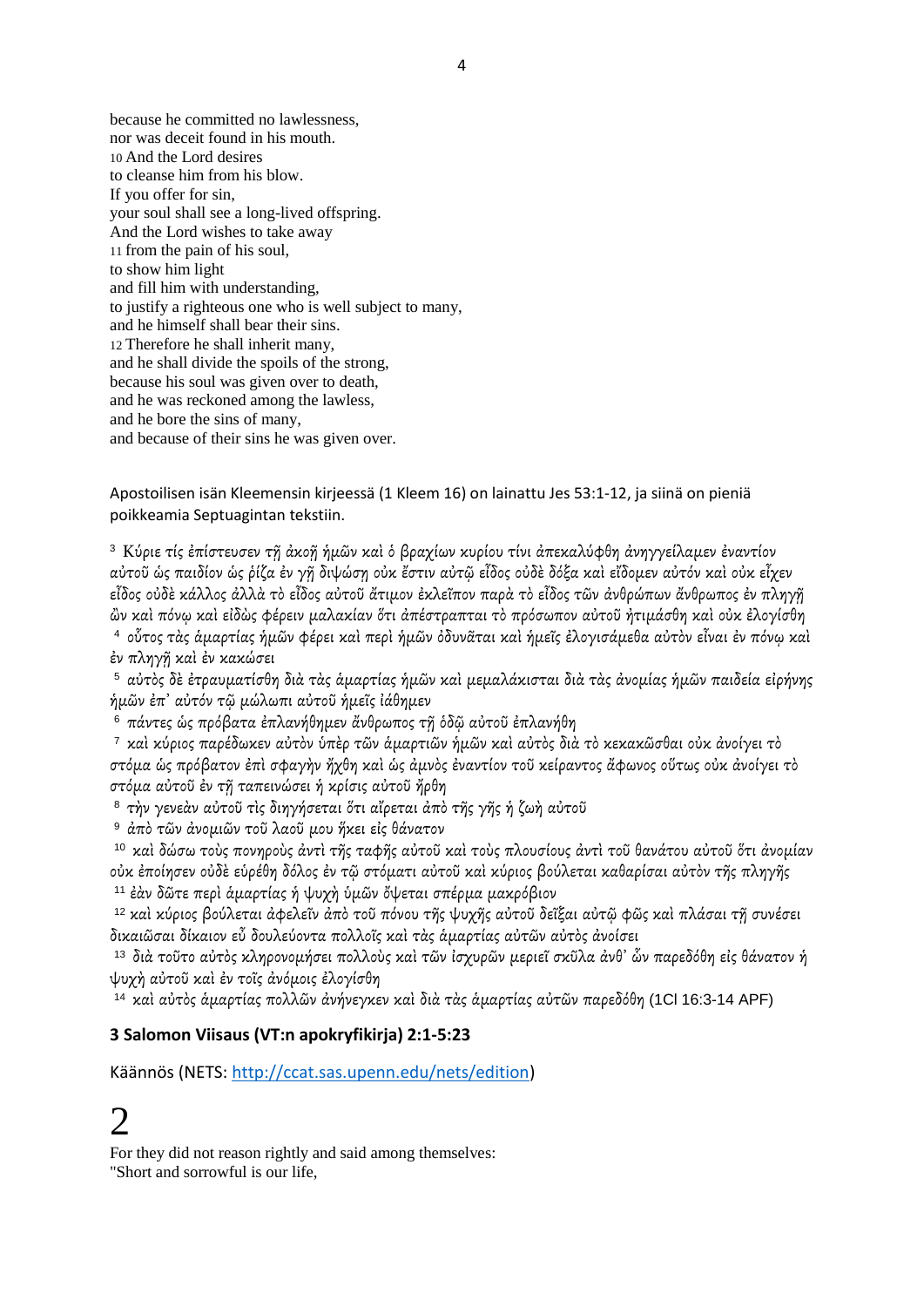because he committed no lawlessness, nor was deceit found in his mouth. 10 And the Lord desires to cleanse him from his blow. If you offer for sin, your soul shall see a long-lived offspring. And the Lord wishes to take away 11 from the pain of his soul, to show him light and fill him with understanding, to justify a righteous one who is well subject to many, and he himself shall bear their sins. 12 Therefore he shall inherit many, and he shall divide the spoils of the strong, because his soul was given over to death, and he was reckoned among the lawless, and he bore the sins of many, and because of their sins he was given over.

Apostoilisen isän Kleemensin kirjeessä (1 Kleem 16) on lainattu Jes 53:1-12, ja siinä on pieniä poikkeamia Septuagintan tekstiin.

<sup>3</sup>Κύριε τίς ἐπίστευσεν τῇ ἀκοῇ ἡμῶν καὶ ὁ βραχίων κυρίου τίνι ἀπεκαλύφθη ἀνηγγείλαμεν ἐναντίον αὐτοῦ ὡς παιδίον ὡς ῥίζα ἐν γῇ διψώσῃ οὐκ ἔστιν αὐτῷ εἶδος οὐδὲ δόξα καὶ εἴδομεν αὐτόν καὶ οὐκ εἶχεν εἶδος οὐδὲ κάλλος ἀλλὰ τὸ εἶδος αὐτοῦ ἄτιμον ἐκλεῖπον παρὰ τὸ εἶδος τῶν ἀνθρώπων ἄνθρωπος ἐν πληγῇ ὢν καὶ πόνῳ καὶ εἰδὼς φέρειν μαλακίαν ὅτι ἀπέστραπται τὸ πρόσωπον αὐτοῦ ἠτιμάσθη καὶ οὐκ ἐλογίσθη <sup>4</sup>οὗτος τὰς ἁμαρτίας ἡμῶν φέρει καὶ περὶ ἡμῶν ὀδυνᾶται καὶ ἡμεῖς ἐλογισάμεθα αὐτὸν εἶναι ἐν πόνῳ καὶ ἐν πληγῇ καὶ ἐν κακώσει

<sup>5</sup>αὐτὸς δὲ ἐτραυματίσθη διὰ τὰς ἁμαρτίας ἡμῶν καὶ μεμαλάκισται διὰ τὰς ἀνομίας ἡμῶν παιδεία εἰρήνης ἡμῶν ἐπ᾽ αὐτόν τῷ μώλωπι αὐτοῦ ἡμεῖς ἰάθημεν

<sup>6</sup>πάντες ὡς πρόβατα ἐπλανήθημεν ἄνθρωπος τῇ ὁδῷ αὐτοῦ ἐπλανήθη

<sup>7</sup>καὶ κύριος παρέδωκεν αὐτὸν ὑπὲρ τῶν ἁμαρτιῶν ἡμῶν καὶ αὐτὸς διὰ τὸ κεκακῶσθαι οὐκ ἀνοίγει τὸ στόμα ὡς πρόβατον ἐπὶ σφαγὴν ἤχθη καὶ ὡς ἀμνὸς ἐναντίον τοῦ κείραντος ἄφωνος οὕτως οὐκ ἀνοίγει τὸ στόμα αὐτοῦ ἐν τῇ ταπεινώσει ἡ κρίσις αὐτοῦ ἤρθη

<sup>8</sup> τὴν γενεὰν αὐτοῦ τὶς διηγήσεται ὅτι αἴρεται ἀπὸ τῆς γῆς ἡ ζωὴ αὐτοῦ

<sup>9</sup> άπὸ τῶν ἀνομιῶν τοῦ λαοῦ μου ἥκει εἰς θάνατον

<sup>10</sup>καὶ δώσω τοὺς πονηροὺς ἀντὶ τῆς ταφῆς αὐτοῦ καὶ τοὺς πλουσίους ἀντὶ τοῦ θανάτου αὐτοῦ ὅτι ἀνομίαν οὐκ ἐποίησεν οὐδὲ εὑρέθη δόλος ἐν τῷ στόματι αὐτοῦ καὶ κύριος βούλεται καθαρίσαι αὐτὸν τῆς πληγῆς <sup>11</sup> ἐὰν δῶτε περὶ ἁμαρτίας ἡ ψυχὴ ὑμῶν ὄψεται σπέρμα μακρόβιον

<sup>12</sup> καὶ κύριος βούλεται ἀφελεῖν ἀπὸ τοῦ πόνου τῆς ψυχῆς αὐτοῦ δεῖξαι αὐτῷ φῶς καὶ πλάσαι τῇ συνέσει δικαιῶσαι δίκαιον εὖ δουλεύοντα πολλοῖς καὶ τὰς ἁμαρτίας αὐτῶν αὐτὸς ἀνοίσει

<sup>13</sup>διὰ τοῦτο αὐτὸς κληρονομήσει πολλοὺς καὶ τῶν ἰσχυρῶν μεριεῖ σκῦλα ἀνθ᾽ ὧν παρεδόθη εἰς θάνατον ἡ ψυχὴ αὐτοῦ καὶ ἐν τοῖς ἀνόμοις ἐλογίσθη

<sup>14</sup>καὶ αὐτὸς ἁμαρτίας πολλῶν ἀνήνεγκεν καὶ διὰ τὰς ἁμαρτίας αὐτῶν παρεδόθη (1Cl 16:3-14 APF)

### **3 Salomon Viisaus (VT:n apokryfikirja) 2:1-5:23**

Käännös (NETS: [http://ccat.sas.upenn.edu/nets/edition\)](http://ccat.sas.upenn.edu/nets/edition)

# $\mathcal{D}_{\mathcal{L}}$

For they did not reason rightly and said among themselves: "Short and sorrowful is our life,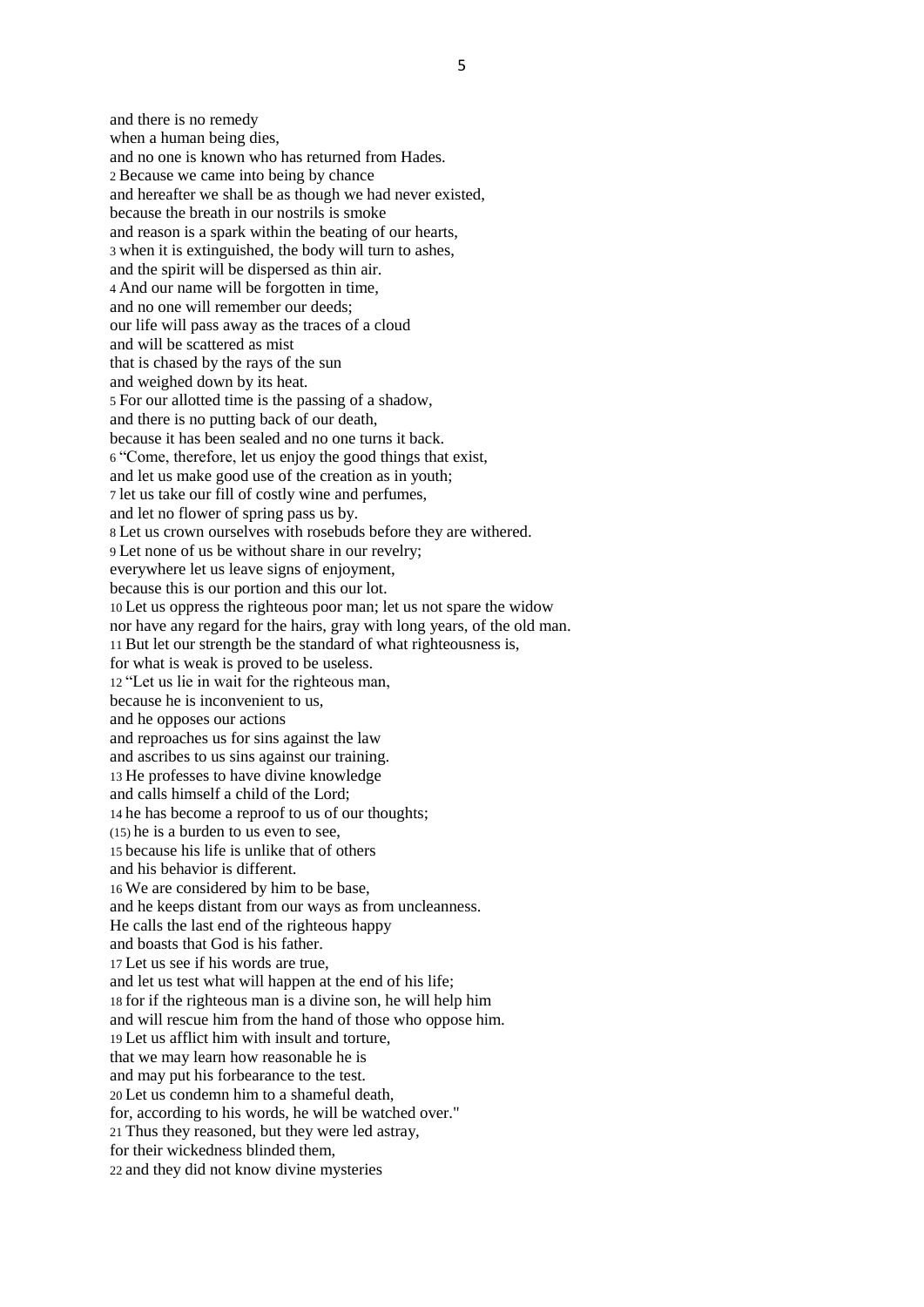and there is no remedy when a human being dies, and no one is known who has returned from Hades. 2 Because we came into being by chance and hereafter we shall be as though we had never existed, because the breath in our nostrils is smoke and reason is a spark within the beating of our hearts, 3 when it is extinguished, the body will turn to ashes, and the spirit will be dispersed as thin air. 4 And our name will be forgotten in time, and no one will remember our deeds; our life will pass away as the traces of a cloud and will be scattered as mist that is chased by the rays of the sun and weighed down by its heat. 5 For our allotted time is the passing of a shadow, and there is no putting back of our death, because it has been sealed and no one turns it back. 6 "Come, therefore, let us enjoy the good things that exist, and let us make good use of the creation as in youth; 7 let us take our fill of costly wine and perfumes, and let no flower of spring pass us by. 8 Let us crown ourselves with rosebuds before they are withered. 9 Let none of us be without share in our revelry; everywhere let us leave signs of enjoyment, because this is our portion and this our lot. 10 Let us oppress the righteous poor man; let us not spare the widow nor have any regard for the hairs, gray with long years, of the old man. 11 But let our strength be the standard of what righteousness is, for what is weak is proved to be useless. 12 "Let us lie in wait for the righteous man, because he is inconvenient to us, and he opposes our actions and reproaches us for sins against the law and ascribes to us sins against our training. 13 He professes to have divine knowledge and calls himself a child of the Lord; 14 he has become a reproof to us of our thoughts; (15) he is a burden to us even to see, 15 because his life is unlike that of others and his behavior is different. 16 We are considered by him to be base, and he keeps distant from our ways as from uncleanness. He calls the last end of the righteous happy and boasts that God is his father. 17 Let us see if his words are true, and let us test what will happen at the end of his life; 18 for if the righteous man is a divine son, he will help him and will rescue him from the hand of those who oppose him. 19 Let us afflict him with insult and torture, that we may learn how reasonable he is and may put his forbearance to the test. 20 Let us condemn him to a shameful death, for, according to his words, he will be watched over." 21 Thus they reasoned, but they were led astray, for their wickedness blinded them,

22 and they did not know divine mysteries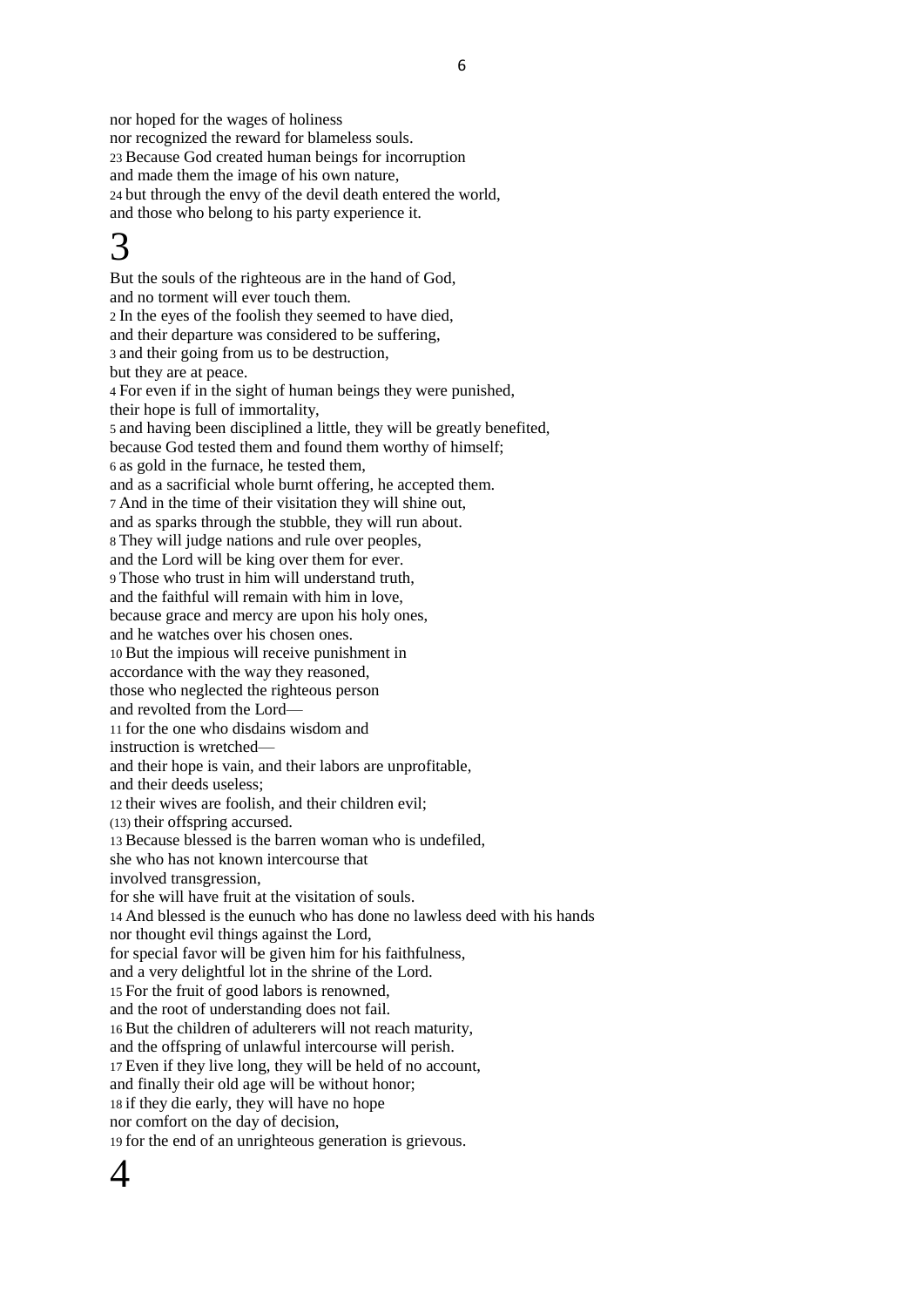nor hoped for the wages of holiness nor recognized the reward for blameless souls. 23 Because God created human beings for incorruption and made them the image of his own nature, 24 but through the envy of the devil death entered the world, and those who belong to his party experience it.

# 3

But the souls of the righteous are in the hand of God, and no torment will ever touch them. 2 In the eyes of the foolish they seemed to have died, and their departure was considered to be suffering, 3 and their going from us to be destruction, but they are at peace. 4 For even if in the sight of human beings they were punished, their hope is full of immortality, 5 and having been disciplined a little, they will be greatly benefited, because God tested them and found them worthy of himself; 6 as gold in the furnace, he tested them, and as a sacrificial whole burnt offering, he accepted them. 7 And in the time of their visitation they will shine out, and as sparks through the stubble, they will run about. 8 They will judge nations and rule over peoples, and the Lord will be king over them for ever. 9 Those who trust in him will understand truth, and the faithful will remain with him in love, because grace and mercy are upon his holy ones, and he watches over his chosen ones. 10 But the impious will receive punishment in accordance with the way they reasoned, those who neglected the righteous person and revolted from the Lord— 11 for the one who disdains wisdom and instruction is wretched and their hope is vain, and their labors are unprofitable, and their deeds useless; 12 their wives are foolish, and their children evil; (13) their offspring accursed. 13 Because blessed is the barren woman who is undefiled, she who has not known intercourse that involved transgression, for she will have fruit at the visitation of souls. 14 And blessed is the eunuch who has done no lawless deed with his hands nor thought evil things against the Lord, for special favor will be given him for his faithfulness, and a very delightful lot in the shrine of the Lord. 15 For the fruit of good labors is renowned, and the root of understanding does not fail. 16 But the children of adulterers will not reach maturity, and the offspring of unlawful intercourse will perish. 17 Even if they live long, they will be held of no account, and finally their old age will be without honor; 18 if they die early, they will have no hope nor comfort on the day of decision, 19 for the end of an unrighteous generation is grievous.

## $\varDelta$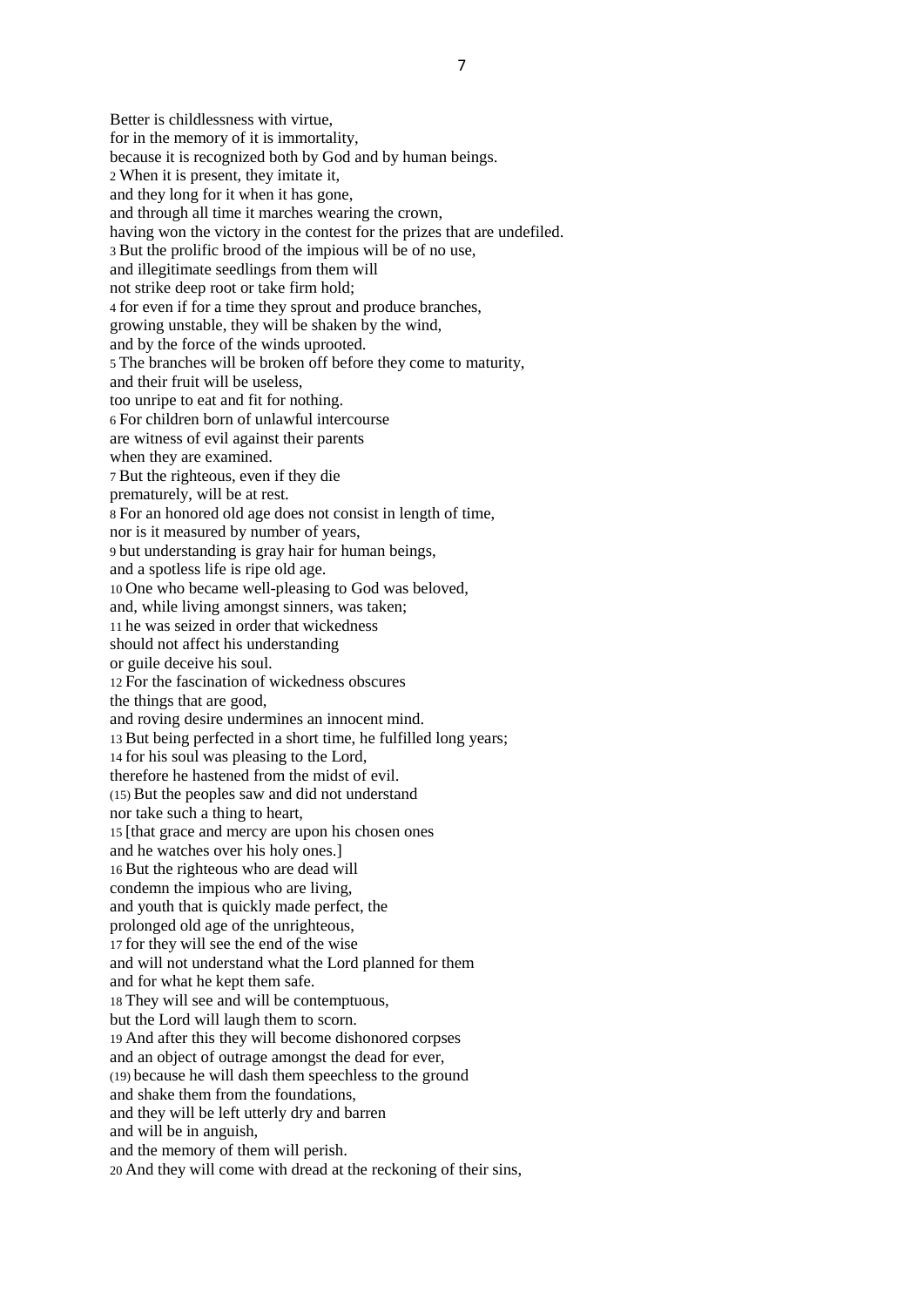Better is childlessness with virtue, for in the memory of it is immortality, because it is recognized both by God and by human beings. 2 When it is present, they imitate it, and they long for it when it has gone, and through all time it marches wearing the crown, having won the victory in the contest for the prizes that are undefiled. 3 But the prolific brood of the impious will be of no use, and illegitimate seedlings from them will not strike deep root or take firm hold; 4 for even if for a time they sprout and produce branches, growing unstable, they will be shaken by the wind, and by the force of the winds uprooted. 5 The branches will be broken off before they come to maturity, and their fruit will be useless, too unripe to eat and fit for nothing. 6 For children born of unlawful intercourse are witness of evil against their parents when they are examined. 7 But the righteous, even if they die prematurely, will be at rest. 8 For an honored old age does not consist in length of time, nor is it measured by number of years, 9 but understanding is gray hair for human beings, and a spotless life is ripe old age. 10 One who became well-pleasing to God was beloved, and, while living amongst sinners, was taken; 11 he was seized in order that wickedness should not affect his understanding or guile deceive his soul. 12 For the fascination of wickedness obscures the things that are good, and roving desire undermines an innocent mind. 13 But being perfected in a short time, he fulfilled long years; 14 for his soul was pleasing to the Lord, therefore he hastened from the midst of evil. (15) But the peoples saw and did not understand nor take such a thing to heart, 15 [that grace and mercy are upon his chosen ones and he watches over his holy ones.] 16 But the righteous who are dead will condemn the impious who are living, and youth that is quickly made perfect, the prolonged old age of the unrighteous, 17 for they will see the end of the wise and will not understand what the Lord planned for them and for what he kept them safe. 18 They will see and will be contemptuous, but the Lord will laugh them to scorn. 19 And after this they will become dishonored corpses and an object of outrage amongst the dead for ever, (19) because he will dash them speechless to the ground and shake them from the foundations, and they will be left utterly dry and barren and will be in anguish, and the memory of them will perish. 20 And they will come with dread at the reckoning of their sins,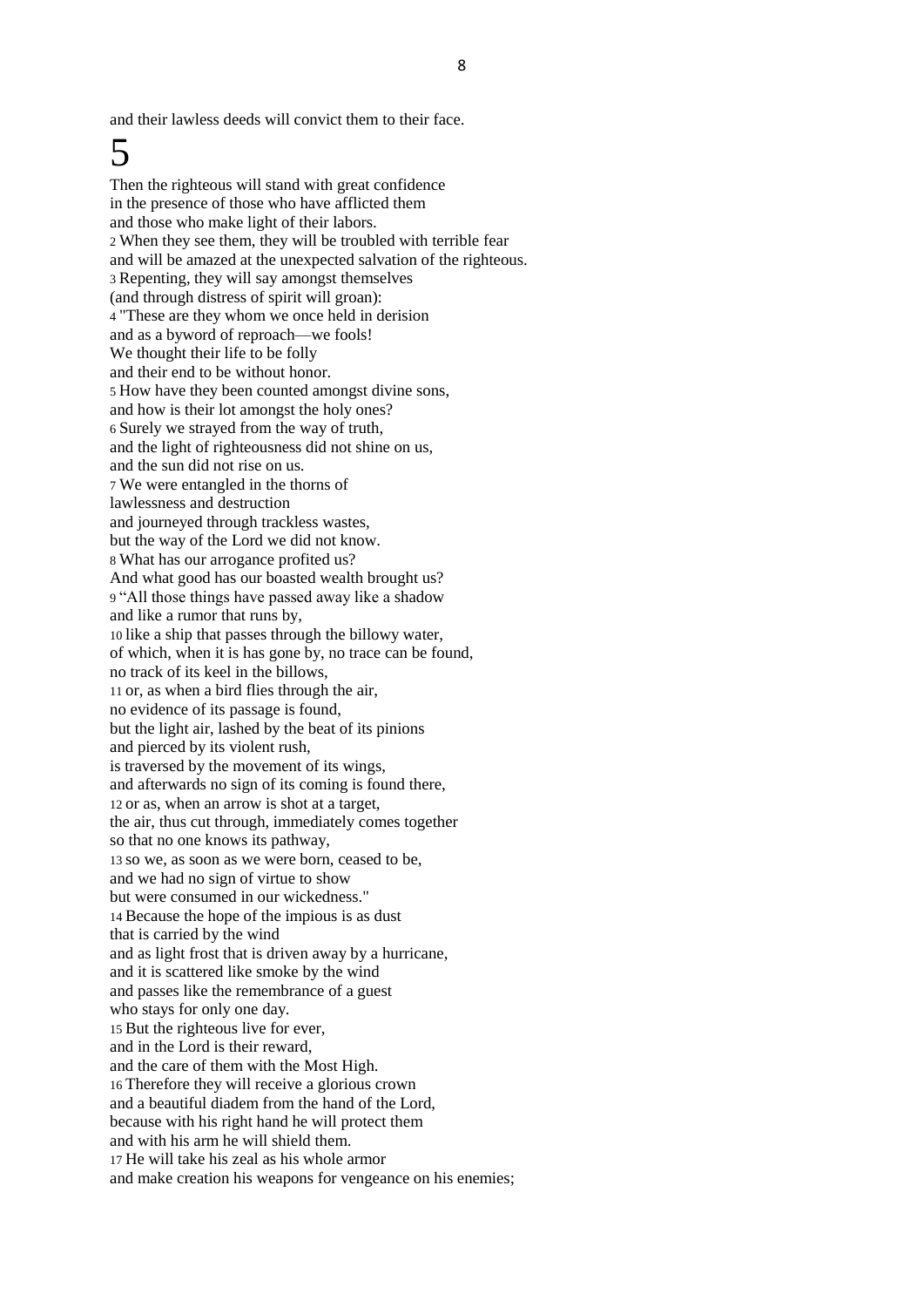and their lawless deeds will convict them to their face.

# 5

Then the righteous will stand with great confidence in the presence of those who have afflicted them and those who make light of their labors. 2 When they see them, they will be troubled with terrible fear and will be amazed at the unexpected salvation of the righteous. 3 Repenting, they will say amongst themselves (and through distress of spirit will groan): 4 "These are they whom we once held in derision and as a byword of reproach—we fools! We thought their life to be folly and their end to be without honor. 5 How have they been counted amongst divine sons, and how is their lot amongst the holy ones? 6 Surely we strayed from the way of truth, and the light of righteousness did not shine on us, and the sun did not rise on us. 7 We were entangled in the thorns of lawlessness and destruction and journeyed through trackless wastes, but the way of the Lord we did not know. 8 What has our arrogance profited us? And what good has our boasted wealth brought us? 9 "All those things have passed away like a shadow and like a rumor that runs by, 10 like a ship that passes through the billowy water, of which, when it is has gone by, no trace can be found, no track of its keel in the billows, 11 or, as when a bird flies through the air, no evidence of its passage is found, but the light air, lashed by the beat of its pinions and pierced by its violent rush, is traversed by the movement of its wings, and afterwards no sign of its coming is found there, 12 or as, when an arrow is shot at a target, the air, thus cut through, immediately comes together so that no one knows its pathway, 13 so we, as soon as we were born, ceased to be, and we had no sign of virtue to show but were consumed in our wickedness." 14 Because the hope of the impious is as dust that is carried by the wind and as light frost that is driven away by a hurricane, and it is scattered like smoke by the wind and passes like the remembrance of a guest who stays for only one day. 15 But the righteous live for ever, and in the Lord is their reward, and the care of them with the Most High. 16 Therefore they will receive a glorious crown and a beautiful diadem from the hand of the Lord, because with his right hand he will protect them and with his arm he will shield them. 17 He will take his zeal as his whole armor and make creation his weapons for vengeance on his enemies;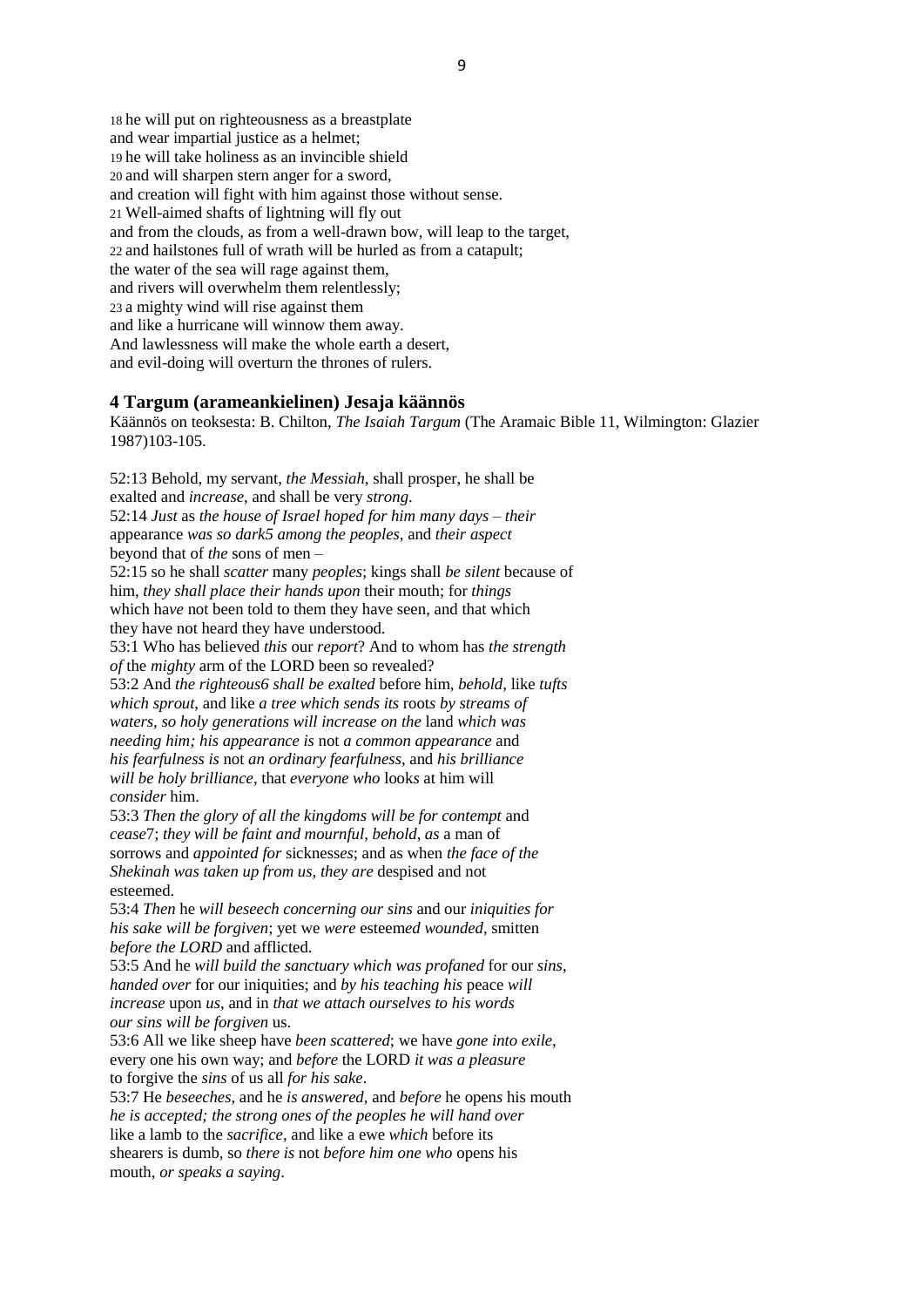18 he will put on righteousness as a breastplate and wear impartial justice as a helmet; 19 he will take holiness as an invincible shield 20 and will sharpen stern anger for a sword, and creation will fight with him against those without sense. 21 Well-aimed shafts of lightning will fly out and from the clouds, as from a well-drawn bow, will leap to the target, 22 and hailstones full of wrath will be hurled as from a catapult; the water of the sea will rage against them, and rivers will overwhelm them relentlessly; 23 a mighty wind will rise against them and like a hurricane will winnow them away. And lawlessness will make the whole earth a desert, and evil-doing will overturn the thrones of rulers.

#### **4 Targum (arameankielinen) Jesaja käännös**

Käännös on teoksesta: B. Chilton, *The Isaiah Targum* (The Aramaic Bible 11, Wilmington: Glazier 1987)103-105.

52:13 Behold, my servant, *the Messiah*, shall prosper, he shall be exalted and *increase*, and shall be very *strong*. 52:14 *Just* as *the house of Israel hoped for him many days* – *their* appearance *was so dark5 among the peoples*, and *their aspect* beyond that of *the* sons of men – 52:15 so he shall *scatter* many *peoples*; kings shall *be silent* because of

him, *they shall place their hands upon* their mouth; for *things* which ha*ve* not been told to them they have seen, and that which they have not heard they have understood.

53:1 Who has believed *this* our *report*? And to whom has *the strength of* the *mighty* arm of the LORD been so revealed?

53:2 And *the righteous6 shall be exalted* before him, *behold*, like *tufts which sprout*, and like *a tree which sends its* root*s by streams of waters, so holy generations will increase on the* land *which was needing him; his appearance is* not *a common appearance* and *his fearfulness is* not *an ordinary fearfulness*, and *his brilliance will be holy brilliance*, that *everyone who* look*s* at him will *consider* him.

53:3 *Then the glory of all the kingdoms will be for contempt* and *cease*7; *they will be faint and mournful, behold, as* a man of sorrows and *appointed for* sickness*es*; and as when *the face of the Shekinah was taken up from us, they are* despised and not esteemed.

53:4 *Then* he *will beseech concerning our sins* and our *iniquities for his sake will be forgiven*; yet we *were* esteem*ed wounded*, smitten *before the LORD* and afflicted.

53:5 And he *will build the sanctuary which was profaned* for our *sins, handed over* for our iniquities; and *by his teaching his* peace *will increase* upon *us*, and in *that we attach ourselves to his words our sins will be forgiven* us.

53:6 All we like sheep have *been scattered*; we have *gone into exile*, every one his own way; and *before* the LORD *it was a pleasure* to forgive the *sins* of us all *for his sake*.

53:7 He *beseeches*, and he *is answered*, and *before* he open*s* his mouth *he is accepted; the strong ones of the peoples he will hand over* like a lamb to the *sacrifice*, and like a ewe *which* before its shearers is dumb, so *there is* not *before him one who* open*s* his mouth, *or speaks a saying*.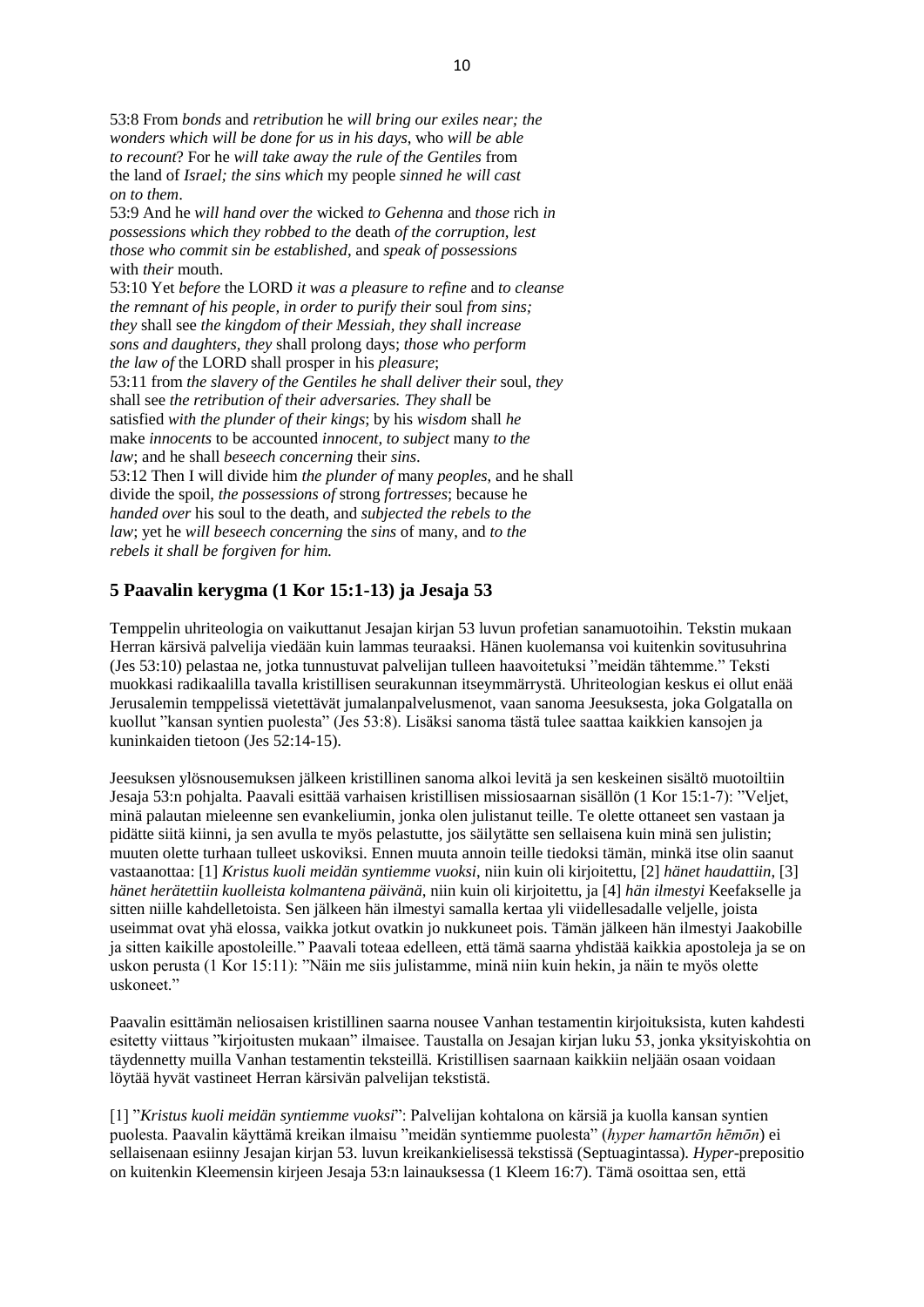53:8 From *bonds* and *retribution* he *will bring our exiles near; the wonders which will be done for us in his days*, who *will be able to recount*? For he *will take away the rule of the Gentiles* from the land of *Israel; the sins which* my people *sinned he will cast on to them*. 53:9 And he *will hand over the* wicked *to Gehenna* and *those* rich *in possessions which they robbed to the* death *of the corruption, lest those who commit sin be established*, and *speak of possessions* with *their* mouth. 53:10 Yet *before* the LORD *it was a pleasure to refine* and *to cleanse the remnant of his people, in order to purify their* soul *from sins; they* shall see *the kingdom of their Messiah, they shall increase sons and daughters, they* shall prolong days; *those who perform the law of* the LORD shall prosper in his *pleasure*; 53:11 from *the slavery of the Gentiles he shall deliver their* soul, *they* shall see *the retribution of their adversaries. They shall* be satisfied *with the plunder of their kings*; by his *wisdom* shall *he* make *innocents* to be accounted *innocent, to subject* many *to the law*; and he shall *beseech concerning* their *sins*. 53:12 Then I will divide him *the plunder of* many *peoples*, and he shall divide the spoil, *the possessions of* strong *fortresses*; because he *handed over* his soul to the death, and *subjected the rebels to the law*; yet he *will beseech concerning* the *sins* of many, and *to the rebels it shall be forgiven for him.*

#### **5 Paavalin kerygma (1 Kor 15:1-13) ja Jesaja 53**

Temppelin uhriteologia on vaikuttanut Jesajan kirjan 53 luvun profetian sanamuotoihin. Tekstin mukaan Herran kärsivä palvelija viedään kuin lammas teuraaksi. Hänen kuolemansa voi kuitenkin sovitusuhrina (Jes 53:10) pelastaa ne, jotka tunnustuvat palvelijan tulleen haavoitetuksi "meidän tähtemme." Teksti muokkasi radikaalilla tavalla kristillisen seurakunnan itseymmärrystä. Uhriteologian keskus ei ollut enää Jerusalemin temppelissä vietettävät jumalanpalvelusmenot, vaan sanoma Jeesuksesta, joka Golgatalla on kuollut "kansan syntien puolesta" (Jes 53:8). Lisäksi sanoma tästä tulee saattaa kaikkien kansojen ja kuninkaiden tietoon (Jes 52:14-15).

Jeesuksen ylösnousemuksen jälkeen kristillinen sanoma alkoi levitä ja sen keskeinen sisältö muotoiltiin Jesaja 53:n pohjalta. Paavali esittää varhaisen kristillisen missiosaarnan sisällön (1 Kor 15:1-7): "Veljet, minä palautan mieleenne sen evankeliumin, jonka olen julistanut teille. Te olette ottaneet sen vastaan ja pidätte siitä kiinni, ja sen avulla te myös pelastutte, jos säilytätte sen sellaisena kuin minä sen julistin; muuten olette turhaan tulleet uskoviksi. Ennen muuta annoin teille tiedoksi tämän, minkä itse olin saanut vastaanottaa: [1] *Kristus kuoli meidän syntiemme vuoksi*, niin kuin oli kirjoitettu, [2] *hänet haudattiin*, [3] *hänet herätettiin kuolleista kolmantena päivänä*, niin kuin oli kirjoitettu, ja [4] *hän ilmestyi* Keefakselle ja sitten niille kahdelletoista. Sen jälkeen hän ilmestyi samalla kertaa yli viidellesadalle veljelle, joista useimmat ovat yhä elossa, vaikka jotkut ovatkin jo nukkuneet pois. Tämän jälkeen hän ilmestyi Jaakobille ja sitten kaikille apostoleille." Paavali toteaa edelleen, että tämä saarna yhdistää kaikkia apostoleja ja se on uskon perusta (1 Kor 15:11): "Näin me siis julistamme, minä niin kuin hekin, ja näin te myös olette uskoneet."

Paavalin esittämän neliosaisen kristillinen saarna nousee Vanhan testamentin kirjoituksista, kuten kahdesti esitetty viittaus "kirjoitusten mukaan" ilmaisee. Taustalla on Jesajan kirjan luku 53, jonka yksityiskohtia on täydennetty muilla Vanhan testamentin teksteillä. Kristillisen saarnaan kaikkiin neljään osaan voidaan löytää hyvät vastineet Herran kärsivän palvelijan tekstistä.

[1] "*Kristus kuoli meidän syntiemme vuoksi*": Palvelijan kohtalona on kärsiä ja kuolla kansan syntien puolesta. Paavalin käyttämä kreikan ilmaisu "meidän syntiemme puolesta" (*hyper hamartōn hēmōn*) ei sellaisenaan esiinny Jesajan kirjan 53. luvun kreikankielisessä tekstissä (Septuagintassa). *Hyper*-prepositio on kuitenkin Kleemensin kirjeen Jesaja 53:n lainauksessa (1 Kleem 16:7). Tämä osoittaa sen, että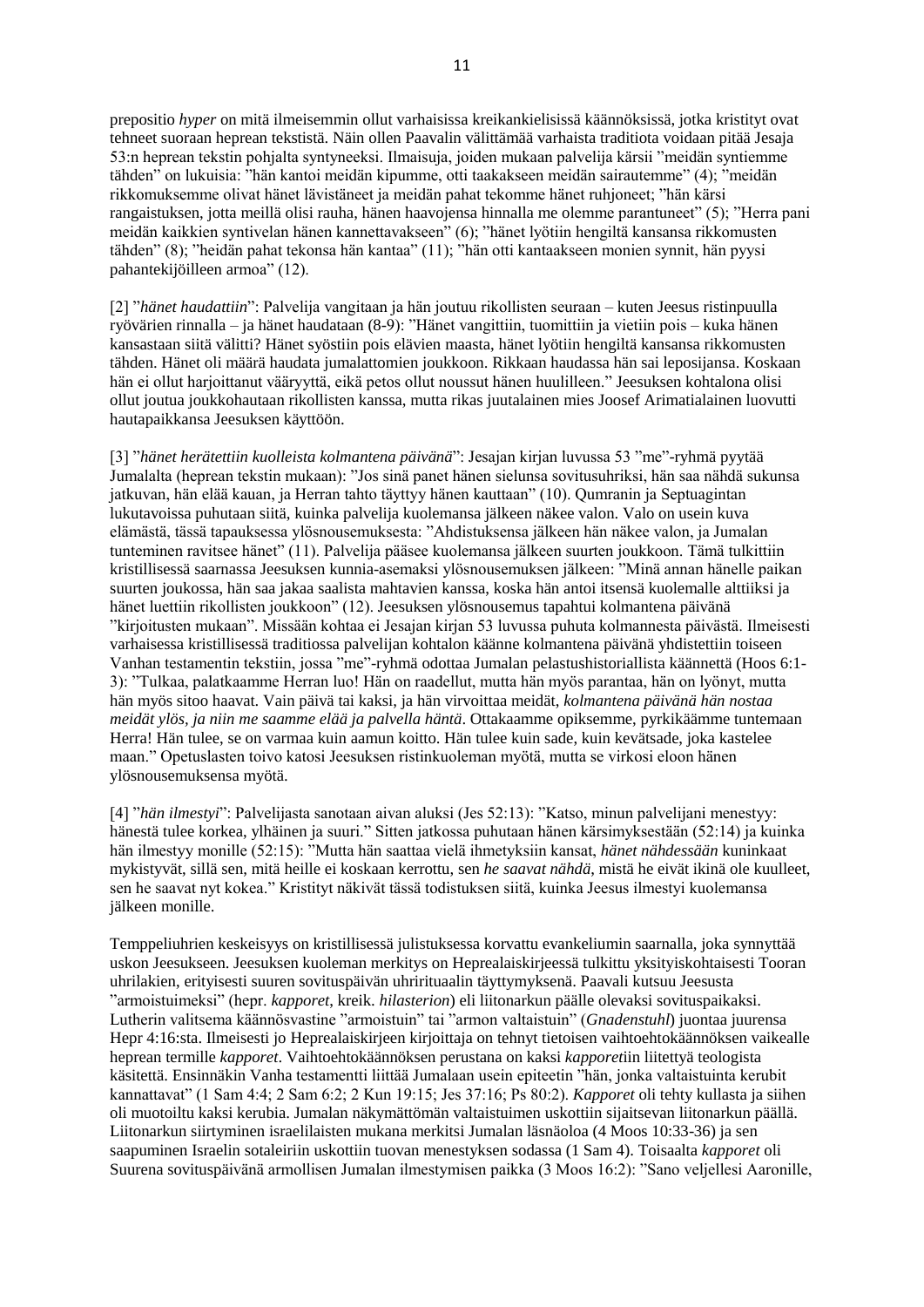prepositio *hyper* on mitä ilmeisemmin ollut varhaisissa kreikankielisissä käännöksissä, jotka kristityt ovat tehneet suoraan heprean tekstistä. Näin ollen Paavalin välittämää varhaista traditiota voidaan pitää Jesaja 53:n heprean tekstin pohjalta syntyneeksi. Ilmaisuja, joiden mukaan palvelija kärsii "meidän syntiemme tähden" on lukuisia: "hän kantoi meidän kipumme, otti taakakseen meidän sairautemme" (4); "meidän rikkomuksemme olivat hänet lävistäneet ja meidän pahat tekomme hänet ruhjoneet; "hän kärsi rangaistuksen, jotta meillä olisi rauha, hänen haavojensa hinnalla me olemme parantuneet" (5); "Herra pani meidän kaikkien syntivelan hänen kannettavakseen" (6); "hänet lyötiin hengiltä kansansa rikkomusten tähden" (8); "heidän pahat tekonsa hän kantaa" (11); "hän otti kantaakseen monien synnit, hän pyysi pahantekijöilleen armoa" (12).

[2] "*hänet haudattiin*": Palvelija vangitaan ja hän joutuu rikollisten seuraan – kuten Jeesus ristinpuulla ryövärien rinnalla – ja hänet haudataan (8-9): "Hänet vangittiin, tuomittiin ja vietiin pois – kuka hänen kansastaan siitä välitti? Hänet syöstiin pois elävien maasta, hänet lyötiin hengiltä kansansa rikkomusten tähden. Hänet oli määrä haudata jumalattomien joukkoon. Rikkaan haudassa hän sai leposijansa. Koskaan hän ei ollut harjoittanut vääryyttä, eikä petos ollut noussut hänen huulilleen." Jeesuksen kohtalona olisi ollut joutua joukkohautaan rikollisten kanssa, mutta rikas juutalainen mies Joosef Arimatialainen luovutti hautapaikkansa Jeesuksen käyttöön.

[3] "*hänet herätettiin kuolleista kolmantena päivänä*": Jesajan kirjan luvussa 53 "me"-ryhmä pyytää Jumalalta (heprean tekstin mukaan): "Jos sinä panet hänen sielunsa sovitusuhriksi, hän saa nähdä sukunsa jatkuvan, hän elää kauan, ja Herran tahto täyttyy hänen kauttaan" (10). Qumranin ja Septuagintan lukutavoissa puhutaan siitä, kuinka palvelija kuolemansa jälkeen näkee valon. Valo on usein kuva elämästä, tässä tapauksessa ylösnousemuksesta: "Ahdistuksensa jälkeen hän näkee valon, ja Jumalan tunteminen ravitsee hänet" (11). Palvelija pääsee kuolemansa jälkeen suurten joukkoon. Tämä tulkittiin kristillisessä saarnassa Jeesuksen kunnia-asemaksi ylösnousemuksen jälkeen: "Minä annan hänelle paikan suurten joukossa, hän saa jakaa saalista mahtavien kanssa, koska hän antoi itsensä kuolemalle alttiiksi ja hänet luettiin rikollisten joukkoon" (12). Jeesuksen ylösnousemus tapahtui kolmantena päivänä "kirjoitusten mukaan". Missään kohtaa ei Jesajan kirjan 53 luvussa puhuta kolmannesta päivästä. Ilmeisesti varhaisessa kristillisessä traditiossa palvelijan kohtalon käänne kolmantena päivänä yhdistettiin toiseen Vanhan testamentin tekstiin, jossa "me"-ryhmä odottaa Jumalan pelastushistoriallista käännettä (Hoos 6:1- 3): "Tulkaa, palatkaamme Herran luo! Hän on raadellut, mutta hän myös parantaa, hän on lyönyt, mutta hän myös sitoo haavat. Vain päivä tai kaksi, ja hän virvoittaa meidät, *kolmantena päivänä hän nostaa meidät ylös, ja niin me saamme elää ja palvella häntä*. Ottakaamme opiksemme, pyrkikäämme tuntemaan Herra! Hän tulee, se on varmaa kuin aamun koitto. Hän tulee kuin sade, kuin kevätsade, joka kastelee maan." Opetuslasten toivo katosi Jeesuksen ristinkuoleman myötä, mutta se virkosi eloon hänen ylösnousemuksensa myötä.

[4] "*hän ilmestyi*": Palvelijasta sanotaan aivan aluksi (Jes 52:13): "Katso, minun palvelijani menestyy: hänestä tulee korkea, ylhäinen ja suuri." Sitten jatkossa puhutaan hänen kärsimyksestään (52:14) ja kuinka hän ilmestyy monille (52:15): "Mutta hän saattaa vielä ihmetyksiin kansat, *hänet nähdessään* kuninkaat mykistyvät, sillä sen, mitä heille ei koskaan kerrottu, sen *he saavat nähdä*, mistä he eivät ikinä ole kuulleet, sen he saavat nyt kokea." Kristityt näkivät tässä todistuksen siitä, kuinka Jeesus ilmestyi kuolemansa jälkeen monille.

Temppeliuhrien keskeisyys on kristillisessä julistuksessa korvattu evankeliumin saarnalla, joka synnyttää uskon Jeesukseen. Jeesuksen kuoleman merkitys on Heprealaiskirjeessä tulkittu yksityiskohtaisesti Tooran uhrilakien, erityisesti suuren sovituspäivän uhrirituaalin täyttymyksenä. Paavali kutsuu Jeesusta "armoistuimeksi" (hepr. *kapporet*, kreik. *hilasterion*) eli liitonarkun päälle olevaksi sovituspaikaksi. Lutherin valitsema käännösvastine "armoistuin" tai "armon valtaistuin" (*Gnadenstuhl*) juontaa juurensa Hepr 4:16:sta. Ilmeisesti jo Heprealaiskirjeen kirjoittaja on tehnyt tietoisen vaihtoehtokäännöksen vaikealle heprean termille *kapporet*. Vaihtoehtokäännöksen perustana on kaksi *kapporet*iin liitettyä teologista käsitettä. Ensinnäkin Vanha testamentti liittää Jumalaan usein epiteetin "hän, jonka valtaistuinta kerubit kannattavat" (1 Sam 4:4; 2 Sam 6:2; 2 Kun 19:15; Jes 37:16; Ps 80:2). *Kapporet* oli tehty kullasta ja siihen oli muotoiltu kaksi kerubia. Jumalan näkymättömän valtaistuimen uskottiin sijaitsevan liitonarkun päällä. Liitonarkun siirtyminen israelilaisten mukana merkitsi Jumalan läsnäoloa (4 Moos 10:33-36) ja sen saapuminen Israelin sotaleiriin uskottiin tuovan menestyksen sodassa (1 Sam 4). Toisaalta *kapporet* oli Suurena sovituspäivänä armollisen Jumalan ilmestymisen paikka (3 Moos 16:2): "Sano veljellesi Aaronille,